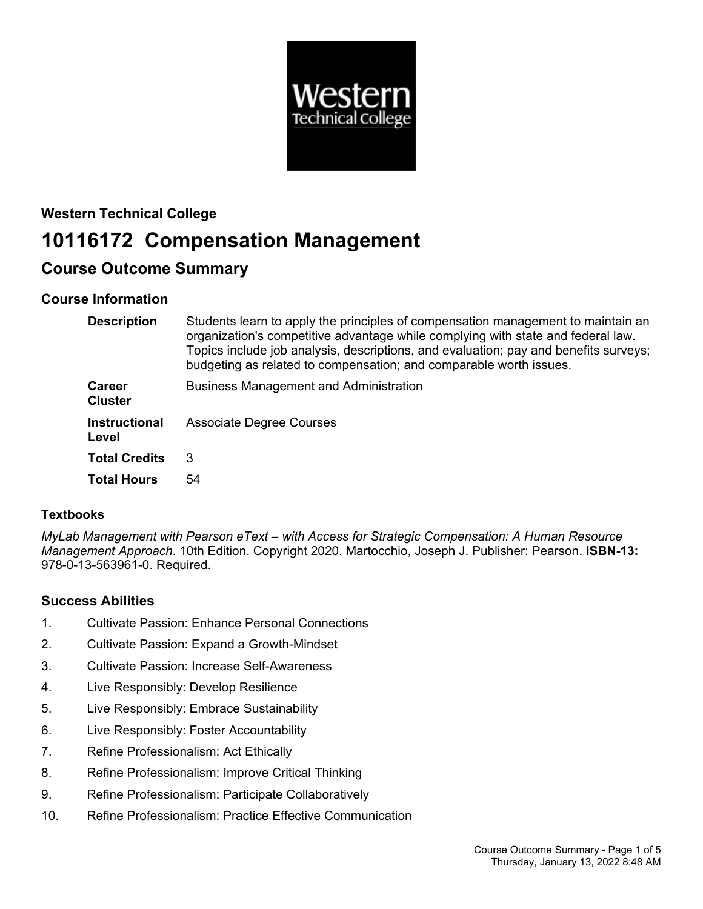

# **Western Technical College 10116172 Compensation Management**

# **Course Outcome Summary**

# **Course Information**

| <b>Description</b>              | Students learn to apply the principles of compensation management to maintain an<br>organization's competitive advantage while complying with state and federal law.<br>Topics include job analysis, descriptions, and evaluation; pay and benefits surveys;<br>budgeting as related to compensation; and comparable worth issues. |
|---------------------------------|------------------------------------------------------------------------------------------------------------------------------------------------------------------------------------------------------------------------------------------------------------------------------------------------------------------------------------|
| <b>Career</b><br><b>Cluster</b> | <b>Business Management and Administration</b>                                                                                                                                                                                                                                                                                      |
| <b>Instructional</b><br>Level   | <b>Associate Degree Courses</b>                                                                                                                                                                                                                                                                                                    |
| <b>Total Credits</b>            | 3                                                                                                                                                                                                                                                                                                                                  |
| <b>Total Hours</b>              | 54                                                                                                                                                                                                                                                                                                                                 |

# **Textbooks**

*MyLab Management with Pearson eText – with Access for Strategic Compensation: A Human Resource Management Approach*. 10th Edition. Copyright 2020. Martocchio, Joseph J. Publisher: Pearson. **ISBN-13:** 978-0-13-563961-0. Required.

# **Success Abilities**

- 1. Cultivate Passion: Enhance Personal Connections
- 2. Cultivate Passion: Expand a Growth-Mindset
- 3. Cultivate Passion: Increase Self-Awareness
- 4. Live Responsibly: Develop Resilience
- 5. Live Responsibly: Embrace Sustainability
- 6. Live Responsibly: Foster Accountability
- 7. Refine Professionalism: Act Ethically
- 8. Refine Professionalism: Improve Critical Thinking
- 9. Refine Professionalism: Participate Collaboratively
- 10. Refine Professionalism: Practice Effective Communication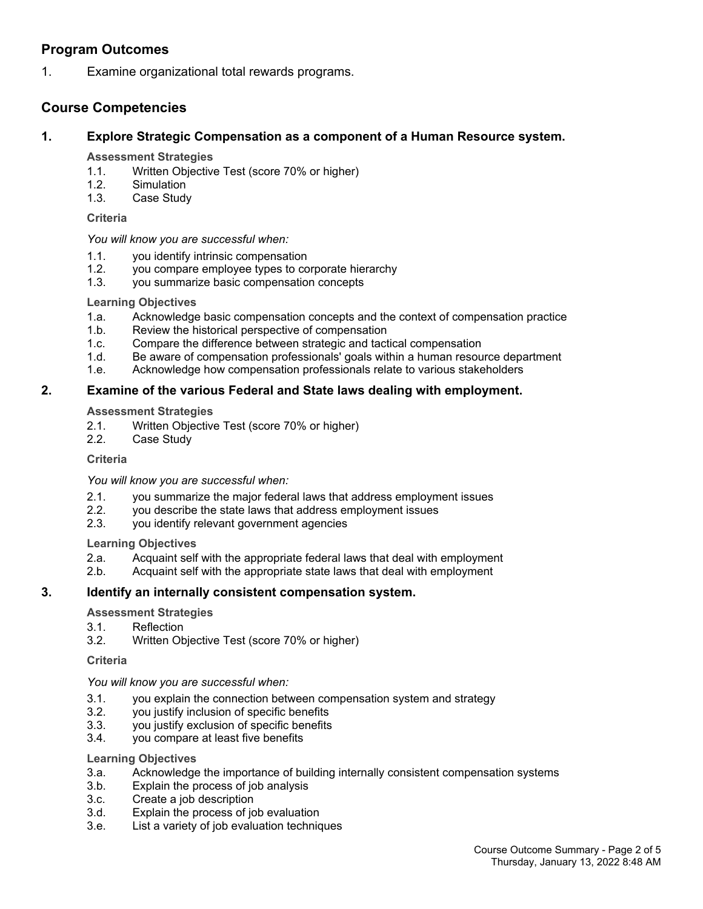## **Program Outcomes**

1. Examine organizational total rewards programs.

### **Course Competencies**

#### **1. Explore Strategic Compensation as a component of a Human Resource system.**

#### **Assessment Strategies**

- 1.1. Written Objective Test (score 70% or higher)
- 1.2. Simulation
- 1.3. Case Study

#### **Criteria**

#### *You will know you are successful when:*

- 1.1. you identify intrinsic compensation
- 1.2. you compare employee types to corporate hierarchy
- 1.3. you summarize basic compensation concepts

#### **Learning Objectives**

- 1.a. Acknowledge basic compensation concepts and the context of compensation practice
- 1.b. Review the historical perspective of compensation
- 1.c. Compare the difference between strategic and tactical compensation
- 1.d. Be aware of compensation professionals' goals within a human resource department
- 1.e. Acknowledge how compensation professionals relate to various stakeholders

#### **2. Examine of the various Federal and State laws dealing with employment.**

#### **Assessment Strategies**

- 2.1. Written Objective Test (score 70% or higher)
- 2.2. Case Study

#### **Criteria**

*You will know you are successful when:*

- 2.1. you summarize the major federal laws that address employment issues
- 2.2. you describe the state laws that address employment issues
- 2.3. you identify relevant government agencies

#### **Learning Objectives**

- 2.a. Acquaint self with the appropriate federal laws that deal with employment
- 2.b. Acquaint self with the appropriate state laws that deal with employment

#### **3. Identify an internally consistent compensation system.**

#### **Assessment Strategies**

- 3.1. Reflection
- 3.2. Written Objective Test (score 70% or higher)

#### **Criteria**

#### *You will know you are successful when:*

- 3.1. you explain the connection between compensation system and strategy
- 3.2. you justify inclusion of specific benefits
- 3.3. you justify exclusion of specific benefits
- 3.4. you compare at least five benefits

#### **Learning Objectives**

- 3.a. Acknowledge the importance of building internally consistent compensation systems
- 3.b. Explain the process of job analysis
- 3.c. Create a job description
- 3.d. Explain the process of job evaluation
- 3.e. List a variety of job evaluation techniques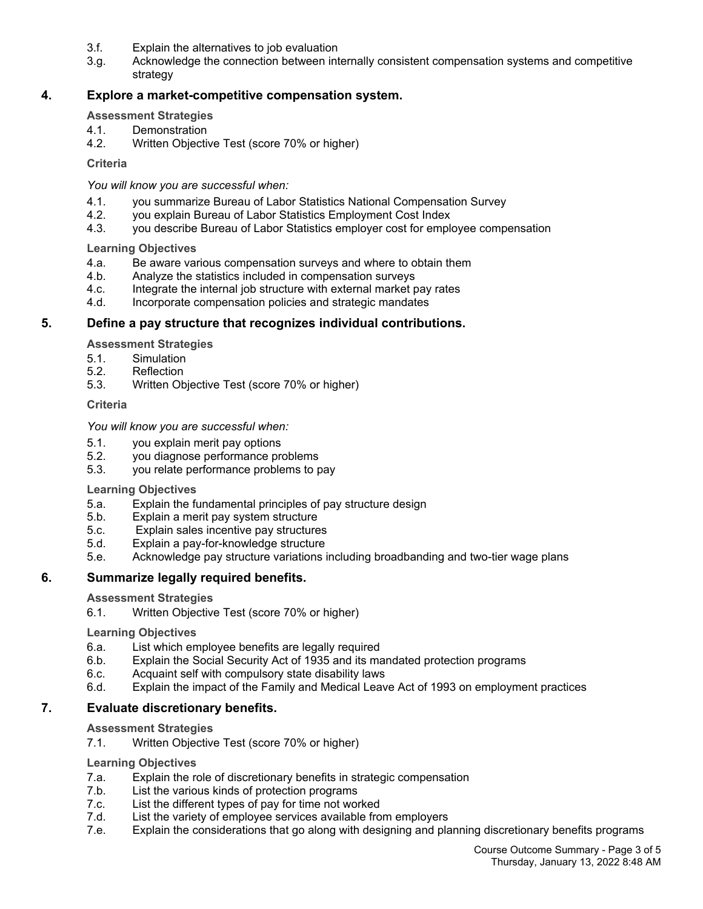- 3.f. Explain the alternatives to job evaluation
- 3.g. Acknowledge the connection between internally consistent compensation systems and competitive strategy

#### **4. Explore a market-competitive compensation system.**

#### **Assessment Strategies**

- 4.1. Demonstration
- 4.2. Written Objective Test (score 70% or higher)

#### **Criteria**

*You will know you are successful when:*

- 4.1. you summarize Bureau of Labor Statistics National Compensation Survey
- 4.2. you explain Bureau of Labor Statistics Employment Cost Index
- 4.3. you describe Bureau of Labor Statistics employer cost for employee compensation

**Learning Objectives**

- 4.a. Be aware various compensation surveys and where to obtain them
- 4.b. Analyze the statistics included in compensation surveys
- 4.c. Integrate the internal job structure with external market pay rates
- 4.d. Incorporate compensation policies and strategic mandates

#### **5. Define a pay structure that recognizes individual contributions.**

**Assessment Strategies**

- 5.1. Simulation
- 5.2. Reflection
- 5.3. Written Objective Test (score 70% or higher)

#### **Criteria**

#### *You will know you are successful when:*

- 5.1. you explain merit pay options
- 5.2. you diagnose performance problems
- 5.3. you relate performance problems to pay

#### **Learning Objectives**

- 5.a. Explain the fundamental principles of pay structure design
- 5.b. Explain a merit pay system structure
- 5.c. Explain sales incentive pay structures
- 5.d. Explain a pay-for-knowledge structure
- 5.e. Acknowledge pay structure variations including broadbanding and two-tier wage plans

#### **6. Summarize legally required benefits.**

#### **Assessment Strategies**

6.1. Written Objective Test (score 70% or higher)

#### **Learning Objectives**

- 6.a. List which employee benefits are legally required
- 6.b. Explain the Social Security Act of 1935 and its mandated protection programs
- 6.c. Acquaint self with compulsory state disability laws
- 6.d. Explain the impact of the Family and Medical Leave Act of 1993 on employment practices

#### **7. Evaluate discretionary benefits.**

#### **Assessment Strategies**

7.1. Written Objective Test (score 70% or higher)

#### **Learning Objectives**

- 7.a. Explain the role of discretionary benefits in strategic compensation
- 7.b. List the various kinds of protection programs
- 7.c. List the different types of pay for time not worked
- 7.d. List the variety of employee services available from employers<br>7.e. Explain the considerations that go along with designing and pla
- Explain the considerations that go along with designing and planning discretionary benefits programs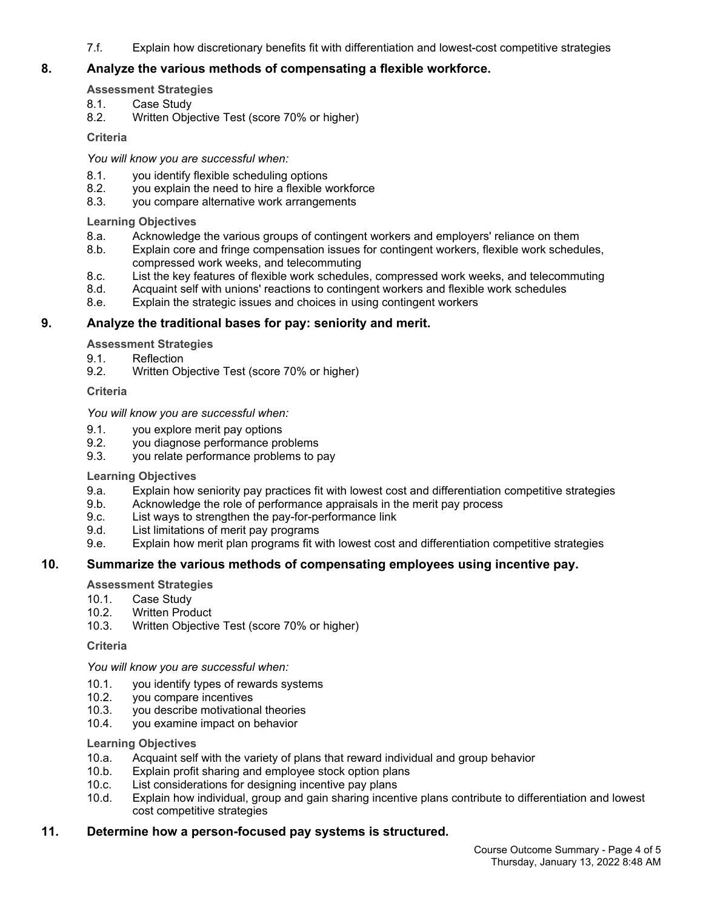7.f. Explain how discretionary benefits fit with differentiation and lowest-cost competitive strategies

#### **8. Analyze the various methods of compensating a flexible workforce.**

#### **Assessment Strategies**

- 8.1. Case Study
- 8.2. Written Objective Test (score 70% or higher)

#### **Criteria**

*You will know you are successful when:*

- 8.1. you identify flexible scheduling options
- 8.2. you explain the need to hire a flexible workforce<br>8.3. you compare alternative work arrangements
- you compare alternative work arrangements

#### **Learning Objectives**

- 8.a. Acknowledge the various groups of contingent workers and employers' reliance on them
- 8.b. Explain core and fringe compensation issues for contingent workers, flexible work schedules, compressed work weeks, and telecommuting
- 8.c. List the key features of flexible work schedules, compressed work weeks, and telecommuting
- 8.d. Acquaint self with unions' reactions to contingent workers and flexible work schedules
- 8.e. Explain the strategic issues and choices in using contingent workers

#### **9. Analyze the traditional bases for pay: seniority and merit.**

**Assessment Strategies**

- 9.1. Reflection
- 9.2. Written Objective Test (score 70% or higher)

#### **Criteria**

#### *You will know you are successful when:*

- 9.1. you explore merit pay options
- 9.2. you diagnose performance problems
- 9.3. you relate performance problems to pay

#### **Learning Objectives**

- 9.a. Explain how seniority pay practices fit with lowest cost and differentiation competitive strategies
- 9.b. Acknowledge the role of performance appraisals in the merit pay process
- 9.c. List ways to strengthen the pay-for-performance link
- 9.d. List limitations of merit pay programs
- 9.e. Explain how merit plan programs fit with lowest cost and differentiation competitive strategies

#### **10. Summarize the various methods of compensating employees using incentive pay.**

#### **Assessment Strategies**

- 10.1. Case Study
- 10.2. Written Product
- 10.3. Written Objective Test (score 70% or higher)

#### **Criteria**

*You will know you are successful when:*

- 10.1. you identify types of rewards systems
- 10.2. you compare incentives
- 10.3. you describe motivational theories
- 10.4. you examine impact on behavior

#### **Learning Objectives**

- 10.a. Acquaint self with the variety of plans that reward individual and group behavior
- 10.b. Explain profit sharing and employee stock option plans
- 10.c. List considerations for designing incentive pay plans
- 10.d. Explain how individual, group and gain sharing incentive plans contribute to differentiation and lowest cost competitive strategies

#### **11. Determine how a person-focused pay systems is structured.**